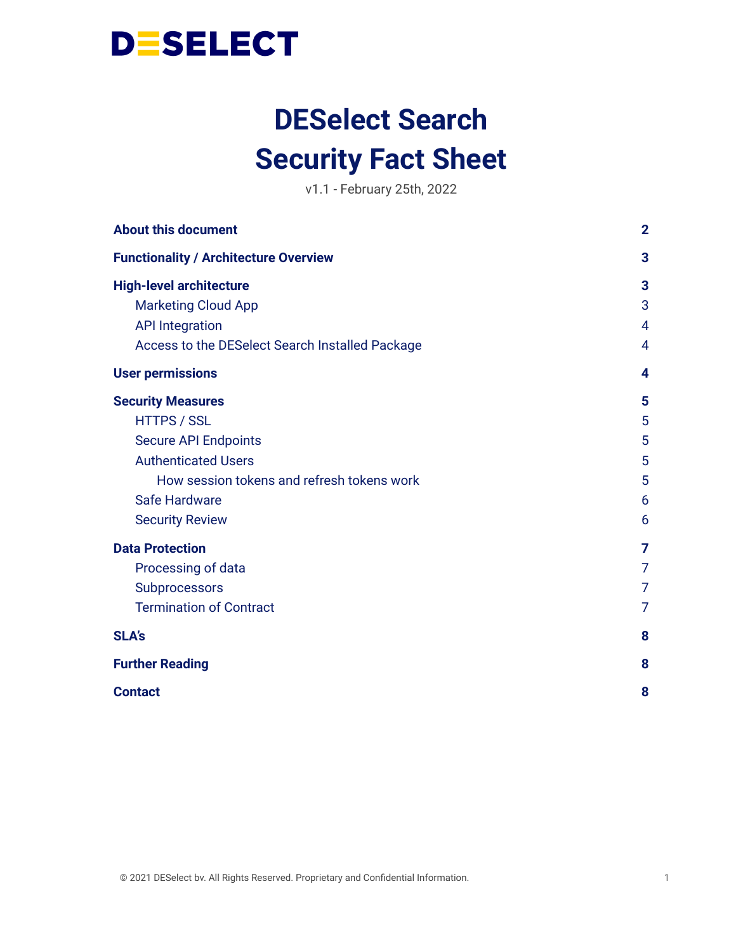

# **DESelect Search Security Fact Sheet**

v1.1 - February 25th, 2022

| <b>About this document</b>                      | $\overline{2}$ |
|-------------------------------------------------|----------------|
| <b>Functionality / Architecture Overview</b>    | 3              |
| <b>High-level architecture</b>                  | 3              |
| <b>Marketing Cloud App</b>                      | 3              |
| <b>API Integration</b>                          | 4              |
| Access to the DESelect Search Installed Package | 4              |
| <b>User permissions</b>                         | 4              |
| <b>Security Measures</b>                        | 5              |
| <b>HTTPS / SSL</b>                              | 5              |
| <b>Secure API Endpoints</b>                     | 5              |
| <b>Authenticated Users</b>                      | 5              |
| How session tokens and refresh tokens work      | 5              |
| Safe Hardware                                   | 6              |
| <b>Security Review</b>                          | 6              |
| <b>Data Protection</b>                          | 7              |
| Processing of data                              | 7              |
| Subprocessors                                   | 7              |
| <b>Termination of Contract</b>                  | 7              |
| <b>SLA's</b>                                    | 8              |
| <b>Further Reading</b>                          | 8              |
| <b>Contact</b>                                  | 8              |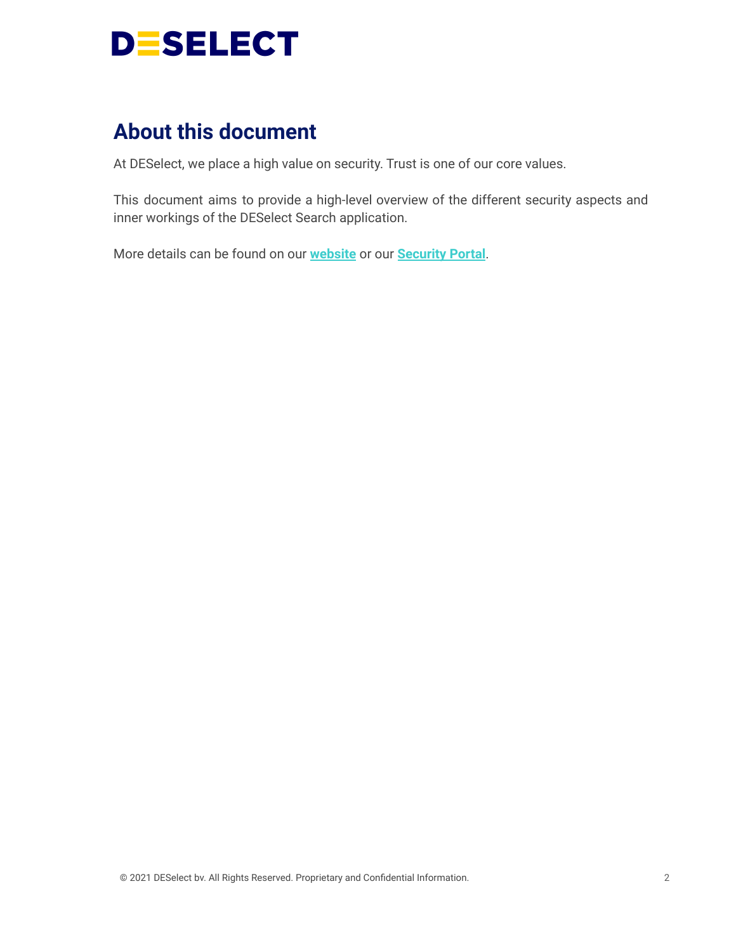

# <span id="page-1-0"></span>**About this document**

At DESelect, we place a high value on security. Trust is one of our core values.

This document aims to provide a high-level overview of the different security aspects and inner workings of the DESelect Search application.

More details can be found on our **[website](https://deselect.com/security-and-data-protection/)** or our **[Security](https://security.deselect.com/) Portal**.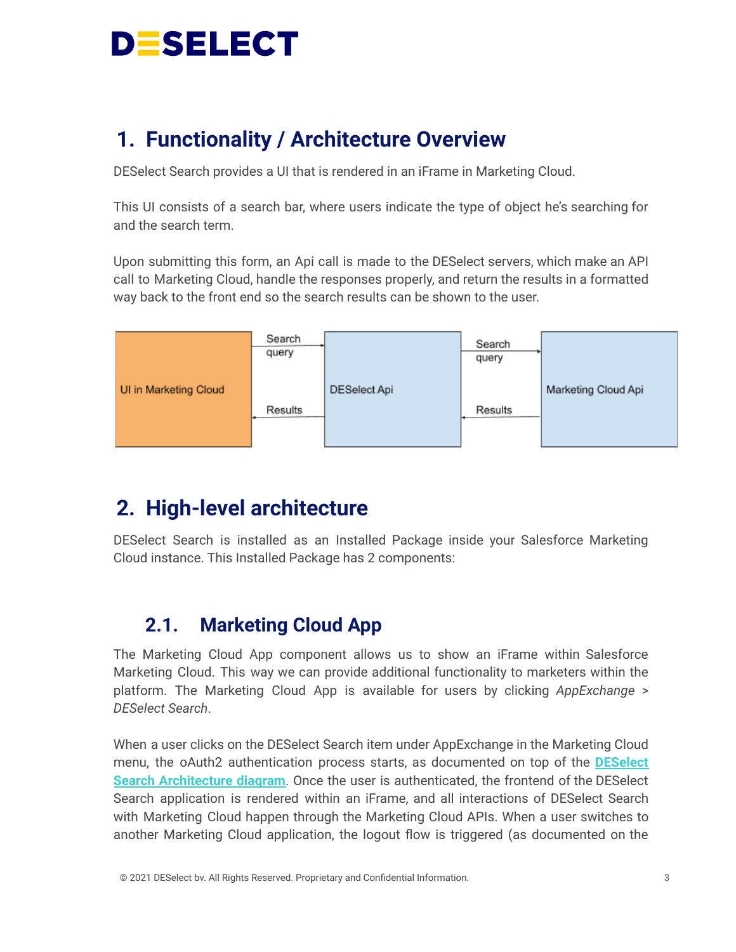

# <span id="page-2-0"></span>**1. Functionality / Architecture Overview**

DESelect Search provides a UI that is rendered in an iFrame in Marketing Cloud.

This UI consists of a search bar, where users indicate the type of object he's searching for and the search term.

Upon submitting this form, an Api call is made to the DESelect servers, which make an API call to Marketing Cloud, handle the responses properly, and return the results in a formatted way back to the front end so the search results can be shown to the user.



# <span id="page-2-1"></span>**2. High-level architecture**

DESelect Search is installed as an Installed Package inside your Salesforce Marketing Cloud instance. This Installed Package has 2 components:

## <span id="page-2-2"></span>**2.1. Marketing Cloud App**

The Marketing Cloud App component allows us to show an iFrame within Salesforce Marketing Cloud. This way we can provide additional functionality to marketers within the platform. The Marketing Cloud App is available for users by clicking *AppExchange* > *DESelect Search*.

When a user clicks on the DESelect Search item under AppExchange in the Marketing Cloud menu, the oAuth2 authentication process starts, as documented on top of the **[DESelect](https://drive.google.com/file/d/15sztR9VUyhW7q_rcuLaYj7_pORzkZFl6/view?usp=sharing) Search [Architecture](https://drive.google.com/file/d/15sztR9VUyhW7q_rcuLaYj7_pORzkZFl6/view?usp=sharing) diagram**. Once the user is authenticated, the frontend of the DESelect Search application is rendered within an iFrame, and all interactions of DESelect Search with Marketing Cloud happen through the Marketing Cloud APIs. When a user switches to another Marketing Cloud application, the logout flow is triggered (as documented on the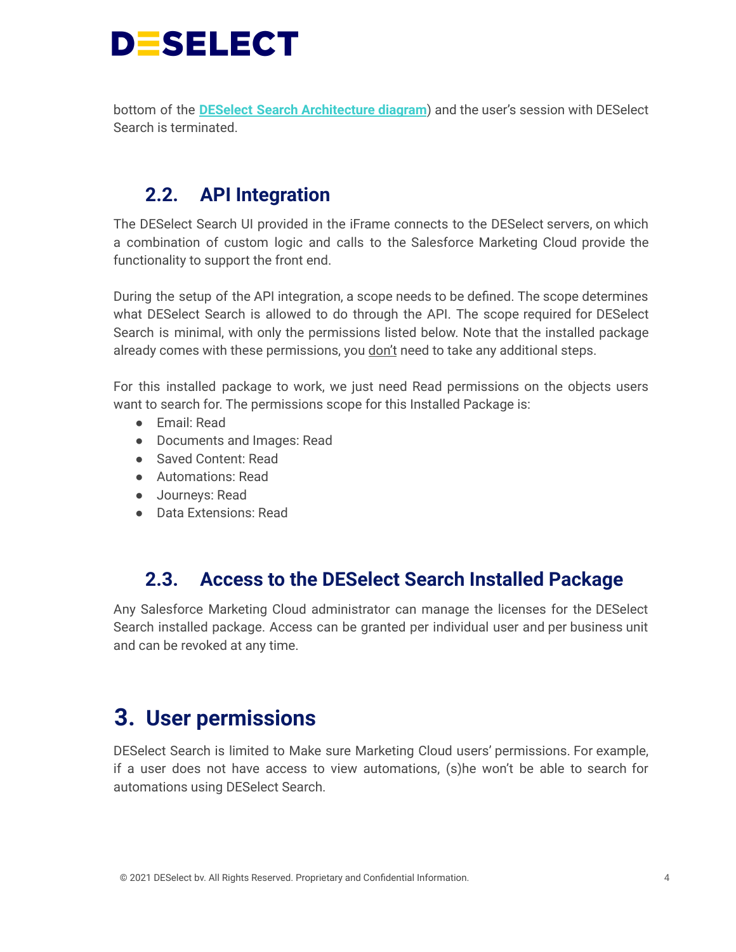

bottom of the **DESelect Search [Architecture](https://drive.google.com/file/d/15sztR9VUyhW7q_rcuLaYj7_pORzkZFl6/view?usp=sharing) diagram**) and the user's session with DESelect Search is terminated.

## <span id="page-3-0"></span>**2.2. API Integration**

The DESelect Search UI provided in the iFrame connects to the DESelect servers, on which a combination of custom logic and calls to the Salesforce Marketing Cloud provide the functionality to support the front end.

During the setup of the API integration, a scope needs to be defined. The scope determines what DESelect Search is allowed to do through the API. The scope required for DESelect Search is minimal, with only the permissions listed below. Note that the installed package already comes with these permissions, you don't need to take any additional steps.

For this installed package to work, we just need Read permissions on the objects users want to search for. The permissions scope for this Installed Package is:

- Email: Read
- Documents and Images: Read
- Saved Content: Read
- Automations: Read
- Journeys: Read
- Data Extensions: Read

## <span id="page-3-1"></span>**2.3. Access to the DESelect Search Installed Package**

Any Salesforce Marketing Cloud administrator can manage the licenses for the DESelect Search installed package. Access can be granted per individual user and per business unit and can be revoked at any time.

# <span id="page-3-2"></span>**3. User permissions**

DESelect Search is limited to Make sure Marketing Cloud users' permissions. For example, if a user does not have access to view automations, (s)he won't be able to search for automations using DESelect Search.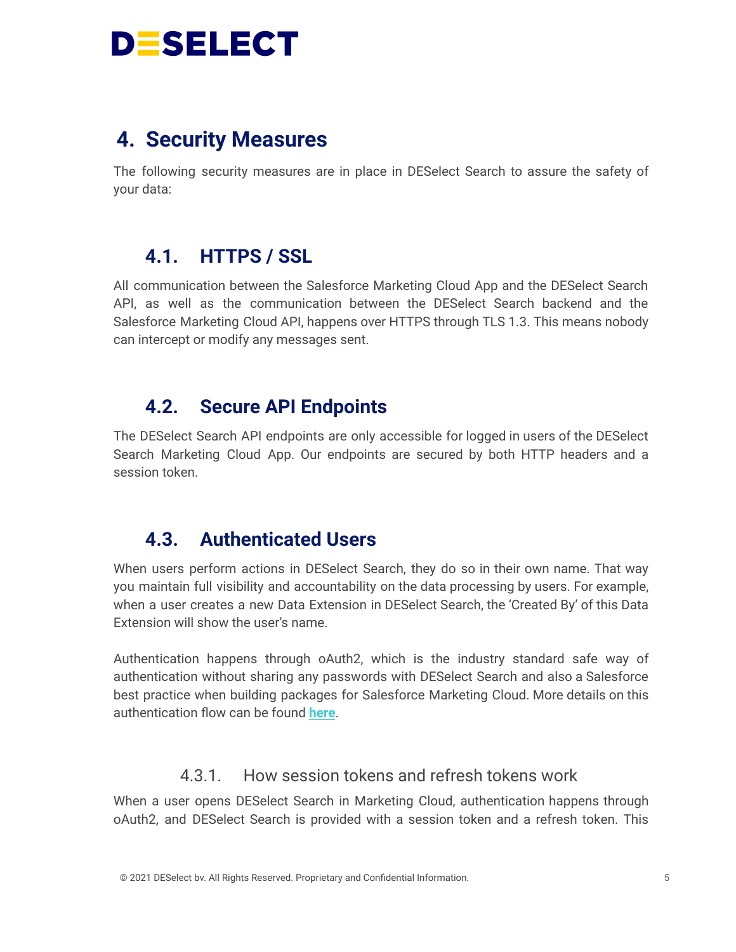

## <span id="page-4-0"></span>**4. Security Measures**

The following security measures are in place in DESelect Search to assure the safety of your data:

## <span id="page-4-1"></span>**4.1. HTTPS / SSL**

All communication between the Salesforce Marketing Cloud App and the DESelect Search API, as well as the communication between the DESelect Search backend and the Salesforce Marketing Cloud API, happens over HTTPS through TLS 1.3. This means nobody can intercept or modify any messages sent.

## <span id="page-4-2"></span>**4.2. Secure API Endpoints**

The DESelect Search API endpoints are only accessible for logged in users of the DESelect Search Marketing Cloud App. Our endpoints are secured by both HTTP headers and a session token.

## <span id="page-4-3"></span>**4.3. Authenticated Users**

When users perform actions in DESelect Search, they do so in their own name. That way you maintain full visibility and accountability on the data processing by users. For example, when a user creates a new Data Extension in DESelect Search, the 'Created By' of this Data Extension will show the user's name.

Authentication happens through oAuth2, which is the industry standard safe way of authentication without sharing any passwords with DESelect Search and also a Salesforce best practice when building packages for Salesforce Marketing Cloud. More details on this authentication flow can be found **[here](https://developer.salesforce.com/docs/marketing/marketing-cloud/guide/integration-app-auth-code.html)**.

#### 4.3.1. How session tokens and refresh tokens work

<span id="page-4-4"></span>When a user opens DESelect Search in Marketing Cloud, authentication happens through oAuth2, and DESelect Search is provided with a session token and a refresh token. This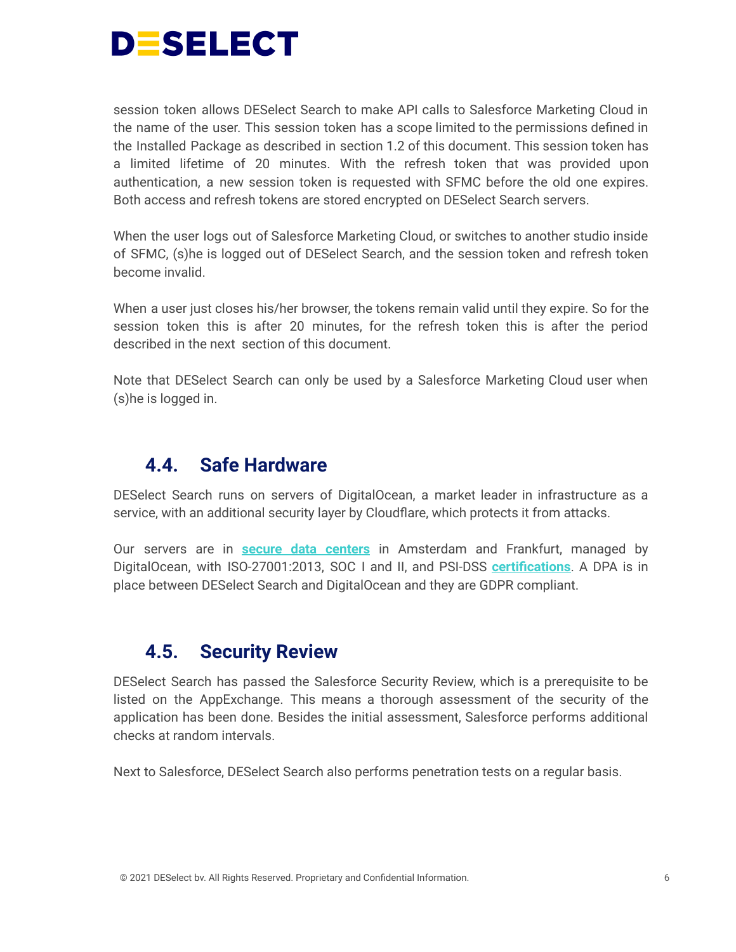

session token allows DESelect Search to make API calls to Salesforce Marketing Cloud in the name of the user. This session token has a scope limited to the permissions defined in the Installed Package as described in section 1.2 of this document. This session token has a limited lifetime of 20 minutes. With the refresh token that was provided upon authentication, a new session token is requested with SFMC before the old one expires. Both access and refresh tokens are stored encrypted on DESelect Search servers.

When the user logs out of Salesforce Marketing Cloud, or switches to another studio inside of SFMC, (s)he is logged out of DESelect Search, and the session token and refresh token become invalid.

When a user just closes his/her browser, the tokens remain valid until they expire. So for the session token this is after 20 minutes, for the refresh token this is after the period described in the next section of this document.

Note that DESelect Search can only be used by a Salesforce Marketing Cloud user when (s)he is logged in.

### <span id="page-5-0"></span>**4.4. Safe Hardware**

DESelect Search runs on servers of DigitalOcean, a market leader in infrastructure as a service, with an additional security layer by Cloudflare, which protects it from attacks.

Our servers are in **secure data [centers](https://www.digitalocean.com/trust/)** in Amsterdam and Frankfurt, managed by DigitalOcean, with ISO-27001:2013, SOC I and II, and PSI-DSS **[certifications](https://www.digitalocean.com/trust/certification-reports/)**. A DPA is in place between DESelect Search and DigitalOcean and they are GDPR compliant.

## <span id="page-5-1"></span>**4.5. Security Review**

DESelect Search has passed the Salesforce Security Review, which is a prerequisite to be listed on the AppExchange. This means a thorough assessment of the security of the application has been done. Besides the initial assessment, Salesforce performs additional checks at random intervals.

Next to Salesforce, DESelect Search also performs penetration tests on a regular basis.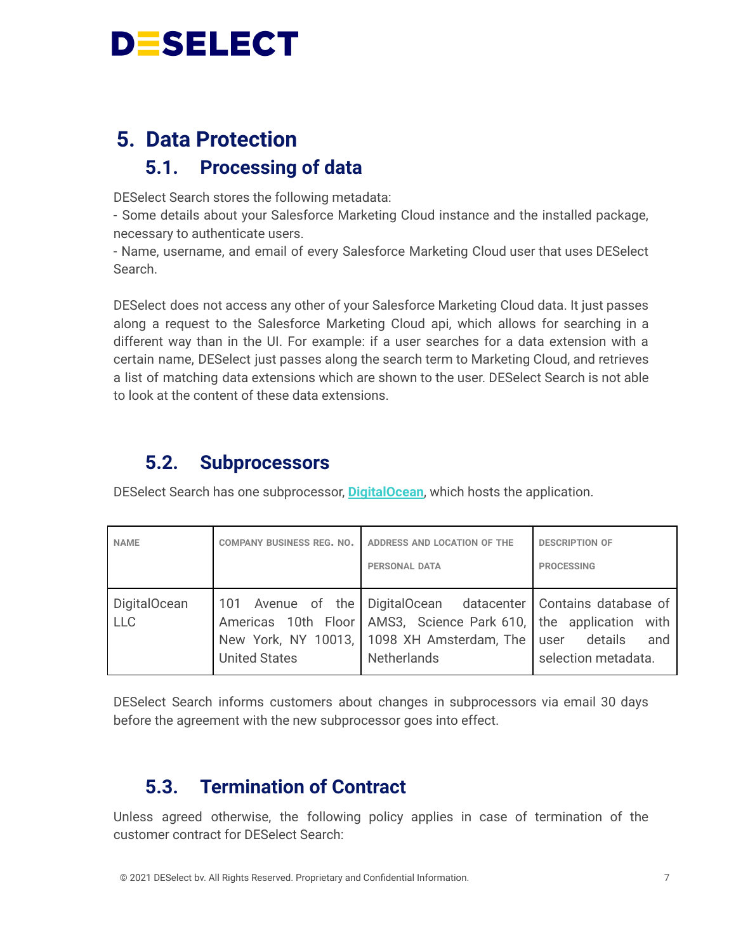# **DESELECT**

# <span id="page-6-1"></span><span id="page-6-0"></span>**5. Data Protection 5.1. Processing of data**

DESelect Search stores the following metadata:

- Some details about your Salesforce Marketing Cloud instance and the installed package, necessary to authenticate users.

- Name, username, and email of every Salesforce Marketing Cloud user that uses DESelect Search.

DESelect does not access any other of your Salesforce Marketing Cloud data. It just passes along a request to the Salesforce Marketing Cloud api, which allows for searching in a different way than in the UI. For example: if a user searches for a data extension with a certain name, DESelect just passes along the search term to Marketing Cloud, and retrieves a list of matching data extensions which are shown to the user. DESelect Search is not able to look at the content of these data extensions.

## <span id="page-6-2"></span>**5.2. Subprocessors**

DESelect Search has one subprocessor, **[DigitalOcean](https://www.digitalocean.com/trust/)**, which hosts the application.

| <b>NAME</b>                | <b>COMPANY BUSINESS REG. NO.</b> | ADDRESS AND LOCATION OF THE<br><b>PERSONAL DATA</b>                                                                                                                                                         | <b>DESCRIPTION OF</b><br><b>PROCESSING</b> |
|----------------------------|----------------------------------|-------------------------------------------------------------------------------------------------------------------------------------------------------------------------------------------------------------|--------------------------------------------|
| DigitalOcean<br><b>LLC</b> | <b>United States</b>             | 101 Avenue of the DigitalOcean datacenter Contains database of<br>Americas 10th Floor AMS3, Science Park 610, the application with<br>New York, NY 10013, 1098 XH Amsterdam, The user<br><b>Netherlands</b> | details<br>and<br>selection metadata.      |

DESelect Search informs customers about changes in subprocessors via email 30 days before the agreement with the new subprocessor goes into effect.

## <span id="page-6-3"></span>**5.3. Termination of Contract**

Unless agreed otherwise, the following policy applies in case of termination of the customer contract for DESelect Search: